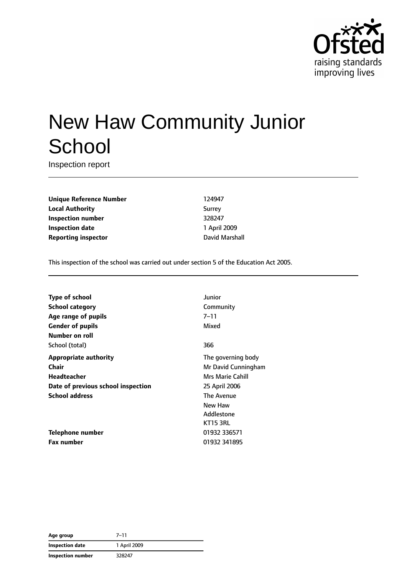

# New Haw Community Junior **School**

Inspection report

**Unique Reference Number** 124947 **Local Authority** Surrey **Inspection number** 328247 **Inspection date** 1 April 2009 **Reporting inspector Contract Contract Contract Contract Contract Contract Contract Contract Contract Contract Contract Contract Contract Contract Contract Contract Contract Contract Contract Contract Contract Contract C** 

This inspection of the school was carried out under section 5 of the Education Act 2005.

| <b>Type of school</b>              | Junior              |
|------------------------------------|---------------------|
| <b>School category</b>             | Community           |
| Age range of pupils                | 7–11                |
| <b>Gender of pupils</b>            | Mixed               |
| Number on roll                     |                     |
| School (total)                     | 366                 |
| <b>Appropriate authority</b>       | The governing body  |
| Chair                              | Mr David Cunningham |
| <b>Headteacher</b>                 | Mrs Marie Cahill    |
| Date of previous school inspection | 25 April 2006       |
| <b>School address</b>              | The Avenue          |
|                                    | New Haw             |
|                                    | Addlestone          |
|                                    | <b>KT15 3RL</b>     |
| <b>Telephone number</b>            | 01932 336571        |
| <b>Fax number</b>                  | 01932 341895        |

**Age group** 7–11 **Inspection date** 1 April 2009 **Inspection number** 328247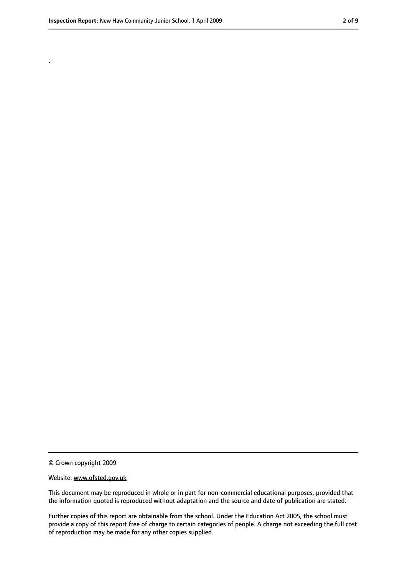.

<sup>©</sup> Crown copyright 2009

Website: www.ofsted.gov.uk

This document may be reproduced in whole or in part for non-commercial educational purposes, provided that the information quoted is reproduced without adaptation and the source and date of publication are stated.

Further copies of this report are obtainable from the school. Under the Education Act 2005, the school must provide a copy of this report free of charge to certain categories of people. A charge not exceeding the full cost of reproduction may be made for any other copies supplied.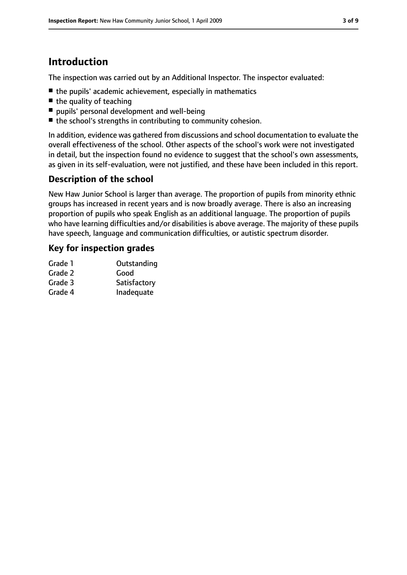# **Introduction**

The inspection was carried out by an Additional Inspector. The inspector evaluated:

- the pupils' academic achievement, especially in mathematics
- the quality of teaching
- pupils' personal development and well-being
- the school's strengths in contributing to community cohesion.

In addition, evidence was gathered from discussions and school documentation to evaluate the overall effectiveness of the school. Other aspects of the school's work were not investigated in detail, but the inspection found no evidence to suggest that the school's own assessments, as given in its self-evaluation, were not justified, and these have been included in this report.

#### **Description of the school**

New Haw Junior School is larger than average. The proportion of pupils from minority ethnic groups has increased in recent years and is now broadly average. There is also an increasing proportion of pupils who speak English as an additional language. The proportion of pupils who have learning difficulties and/or disabilities is above average. The majority of these pupils have speech, language and communication difficulties, or autistic spectrum disorder.

#### **Key for inspection grades**

| Grade 1 | Outstanding  |
|---------|--------------|
| Grade 2 | Good         |
| Grade 3 | Satisfactory |
| Grade 4 | Inadequate   |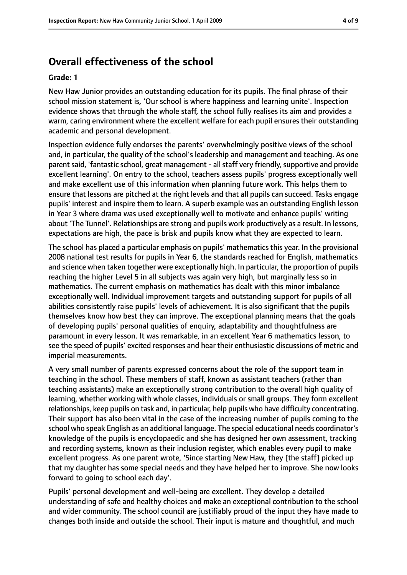# **Overall effectiveness of the school**

#### **Grade: 1**

New Haw Junior provides an outstanding education for its pupils. The final phrase of their school mission statement is, 'Our school is where happiness and learning unite'. Inspection evidence shows that through the whole staff, the school fully realises its aim and provides a warm, caring environment where the excellent welfare for each pupil ensures their outstanding academic and personal development.

Inspection evidence fully endorses the parents' overwhelmingly positive views of the school and, in particular, the quality of the school's leadership and management and teaching. As one parent said, 'fantastic school, great management- all staff very friendly, supportive and provide excellent learning'. On entry to the school, teachers assess pupils' progress exceptionally well and make excellent use of this information when planning future work. This helps them to ensure that lessons are pitched at the right levels and that all pupils can succeed. Tasks engage pupils' interest and inspire them to learn. A superb example was an outstanding English lesson in Year 3 where drama was used exceptionally well to motivate and enhance pupils' writing about 'The Tunnel'. Relationships are strong and pupils work productively as a result. In lessons, expectations are high, the pace is brisk and pupils know what they are expected to learn.

The school has placed a particular emphasis on pupils' mathematics this year. In the provisional 2008 national test results for pupils in Year 6, the standards reached for English, mathematics and science when taken together were exceptionally high. In particular, the proportion of pupils reaching the higher Level 5 in all subjects was again very high, but marginally less so in mathematics. The current emphasis on mathematics has dealt with this minor imbalance exceptionally well. Individual improvement targets and outstanding support for pupils of all abilities consistently raise pupils' levels of achievement. It is also significant that the pupils themselves know how best they can improve. The exceptional planning means that the goals of developing pupils' personal qualities of enquiry, adaptability and thoughtfulness are paramount in every lesson. It was remarkable, in an excellent Year 6 mathematics lesson, to see the speed of pupils' excited responses and hear their enthusiastic discussions of metric and imperial measurements.

A very small number of parents expressed concerns about the role of the support team in teaching in the school. These members of staff, known as assistant teachers (rather than teaching assistants) make an exceptionally strong contribution to the overall high quality of learning, whether working with whole classes, individuals or small groups. They form excellent relationships, keep pupils on task and, in particular, help pupils who have difficulty concentrating. Their support has also been vital in the case of the increasing number of pupils coming to the school who speak English as an additional language. The special educational needs coordinator's knowledge of the pupils is encyclopaedic and she has designed her own assessment, tracking and recording systems, known as their inclusion register, which enables every pupil to make excellent progress. As one parent wrote, 'Since starting New Haw, they [the staff] picked up that my daughter has some special needs and they have helped her to improve. She now looks forward to going to school each day'.

Pupils' personal development and well-being are excellent. They develop a detailed understanding of safe and healthy choices and make an exceptional contribution to the school and wider community. The school council are justifiably proud of the input they have made to changes both inside and outside the school. Their input is mature and thoughtful, and much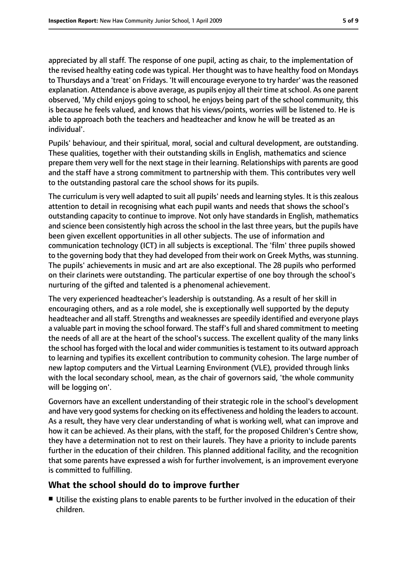appreciated by all staff. The response of one pupil, acting as chair, to the implementation of the revised healthy eating code was typical. Her thought was to have healthy food on Mondays to Thursdays and a 'treat' on Fridays. 'It will encourage everyone to try harder' wasthe reasoned explanation. Attendance is above average, as pupils enjoy all their time at school. As one parent observed, 'My child enjoys going to school, he enjoys being part of the school community, this is because he feels valued, and knows that his views/points, worries will be listened to. He is able to approach both the teachers and headteacher and know he will be treated as an individual'.

Pupils' behaviour, and their spiritual, moral, social and cultural development, are outstanding. These qualities, together with their outstanding skills in English, mathematics and science prepare them very well for the next stage in their learning. Relationships with parents are good and the staff have a strong commitment to partnership with them. This contributes very well to the outstanding pastoral care the school shows for its pupils.

The curriculum is very well adapted to suit all pupils' needs and learning styles. It is this zealous attention to detail in recognising what each pupil wants and needs that shows the school's outstanding capacity to continue to improve. Not only have standards in English, mathematics and science been consistently high across the school in the last three years, but the pupils have been given excellent opportunities in all other subjects. The use of information and communication technology (ICT) in all subjects is exceptional. The 'film' three pupils showed to the governing body that they had developed from their work on Greek Myths, was stunning. The pupils' achievements in music and art are also exceptional. The 28 pupils who performed on their clarinets were outstanding. The particular expertise of one boy through the school's nurturing of the gifted and talented is a phenomenal achievement.

The very experienced headteacher's leadership is outstanding. As a result of her skill in encouraging others, and as a role model, she is exceptionally well supported by the deputy headteacher and all staff. Strengths and weaknesses are speedily identified and everyone plays a valuable part in moving the school forward. The staff's full and shared commitment to meeting the needs of all are at the heart of the school's success. The excellent quality of the many links the school has forged with the local and wider communities is testament to its outward approach to learning and typifies its excellent contribution to community cohesion. The large number of new laptop computers and the Virtual Learning Environment (VLE), provided through links with the local secondary school, mean, as the chair of governors said, 'the whole community will be logging on'.

Governors have an excellent understanding of their strategic role in the school's development and have very good systems for checking on its effectiveness and holding the leaders to account. As a result, they have very clear understanding of what is working well, what can improve and how it can be achieved. As their plans, with the staff, for the proposed Children's Centre show, they have a determination not to rest on their laurels. They have a priority to include parents further in the education of their children. This planned additional facility, and the recognition that some parents have expressed a wish for further involvement, is an improvement everyone is committed to fulfilling.

### **What the school should do to improve further**

■ Utilise the existing plans to enable parents to be further involved in the education of their children.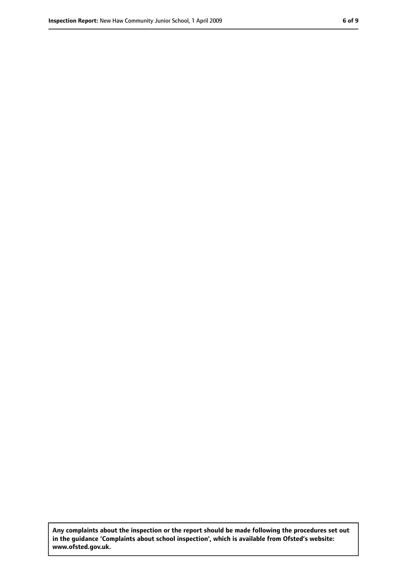**Any complaints about the inspection or the report should be made following the procedures set out in the guidance 'Complaints about school inspection', which is available from Ofsted's website: www.ofsted.gov.uk.**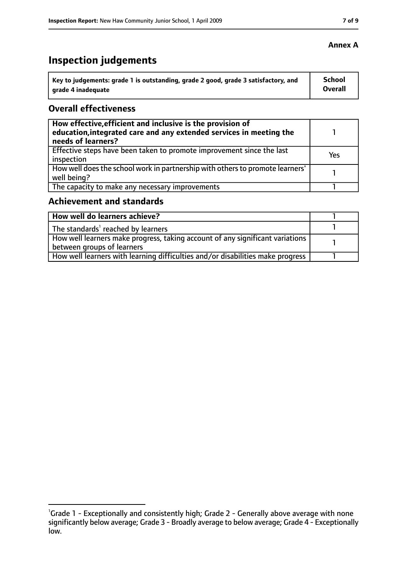# **Inspection judgements**

| Key to judgements: grade 1 is outstanding, grade 2 good, grade 3 satisfactory, and | School  |
|------------------------------------------------------------------------------------|---------|
| arade 4 inadequate                                                                 | Overall |

#### **Overall effectiveness**

| How effective, efficient and inclusive is the provision of<br>education, integrated care and any extended services in meeting the<br>needs of learners? |            |
|---------------------------------------------------------------------------------------------------------------------------------------------------------|------------|
| Effective steps have been taken to promote improvement since the last<br>inspection                                                                     | <b>Yes</b> |
| How well does the school work in partnership with others to promote learners'<br>well being?                                                            |            |
| The capacity to make any necessary improvements                                                                                                         |            |

## **Achievement and standards**

| How well do learners achieve?                                                  |  |
|--------------------------------------------------------------------------------|--|
| The standards <sup>1</sup> reached by learners                                 |  |
| How well learners make progress, taking account of any significant variations  |  |
| between groups of learners                                                     |  |
| How well learners with learning difficulties and/or disabilities make progress |  |

<sup>&</sup>lt;sup>1</sup>Grade 1 - Exceptionally and consistently high; Grade 2 - Generally above average with none significantly below average; Grade 3 - Broadly average to below average; Grade 4 - Exceptionally low.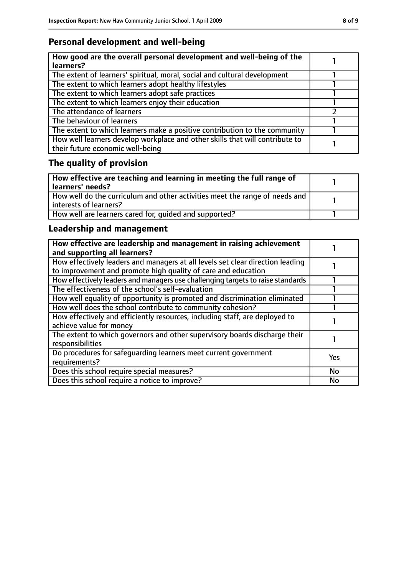## **Personal development and well-being**

| How good are the overall personal development and well-being of the<br>learners?                                 |  |
|------------------------------------------------------------------------------------------------------------------|--|
| The extent of learners' spiritual, moral, social and cultural development                                        |  |
| The extent to which learners adopt healthy lifestyles                                                            |  |
| The extent to which learners adopt safe practices                                                                |  |
| The extent to which learners enjoy their education                                                               |  |
| The attendance of learners                                                                                       |  |
| The behaviour of learners                                                                                        |  |
| The extent to which learners make a positive contribution to the community                                       |  |
| How well learners develop workplace and other skills that will contribute to<br>their future economic well-being |  |

# **The quality of provision**

| How effective are teaching and learning in meeting the full range of<br>learners' needs?              |  |
|-------------------------------------------------------------------------------------------------------|--|
| How well do the curriculum and other activities meet the range of needs and<br>interests of learners? |  |
| How well are learners cared for, quided and supported?                                                |  |

## **Leadership and management**

| How effective are leadership and management in raising achievement<br>and supporting all learners?                                              |     |
|-------------------------------------------------------------------------------------------------------------------------------------------------|-----|
| How effectively leaders and managers at all levels set clear direction leading<br>to improvement and promote high quality of care and education |     |
| How effectively leaders and managers use challenging targets to raise standards                                                                 |     |
| The effectiveness of the school's self-evaluation                                                                                               |     |
| How well equality of opportunity is promoted and discrimination eliminated                                                                      |     |
| How well does the school contribute to community cohesion?                                                                                      |     |
| How effectively and efficiently resources, including staff, are deployed to<br>achieve value for money                                          |     |
| The extent to which governors and other supervisory boards discharge their<br>responsibilities                                                  |     |
| Do procedures for safequarding learners meet current government<br>requirements?                                                                | Yes |
| Does this school require special measures?                                                                                                      | No  |
| Does this school require a notice to improve?                                                                                                   | No  |